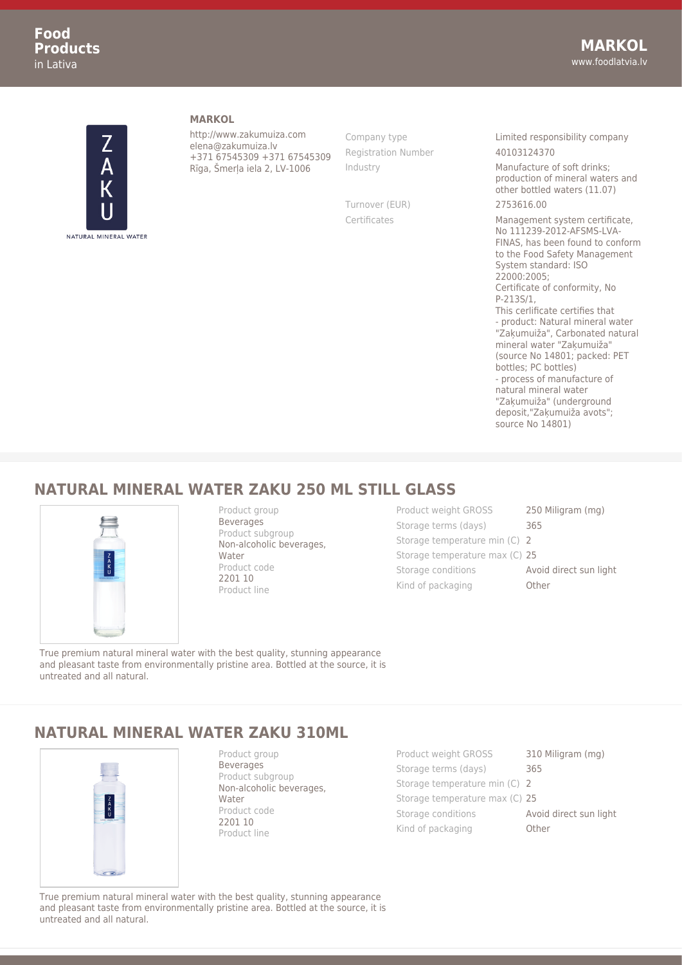

**MARKOL**

http://www.zakumuiza.com elena@zakumuiza.lv +371 67545309 +371 67545309 Rīga, Šmerļa iela 2, LV-1006

Registration Number 40103124370

Turnover (EUR) 2753616.00

Company type **Limited responsibility company** 

Industry Manufacture of soft drinks; production of mineral waters and other bottled waters (11.07)

Certificates Management system certificate, No 111239-2012-AFSMS-LVA-FINAS, has been found to conform to the Food Safety Management System standard: ISO 22000:2005; Certificate of conformity, No P-213S/1, This cerlificate certifies that - product: Natural mineral water "Zaķumuiža", Carbonated natural mineral water "Zaķumuiža" (source No 14801; packed: PET bottles; PC bottles) - process of manufacture of natural mineral water "Zaķumuiža" (underground deposit,"Zaķumuiža avots"; source No 14801)

## **NATURAL MINERAL WATER ZAKU 250 ML STILL GLASS**



Product group **Beverages** Product subgroup Non-alcoholic beverages, Water Product code 2201 10 Product line

Product weight GROSS 250 Miligram (mg) Storage terms (days) 365 Storage temperature min (C) 2 Storage temperature max (C) 25 Storage conditions **Avoid direct sun light** Kind of packaging **Other** 

True premium natural mineral water with the best quality, stunning appearance and pleasant taste from environmentally pristine area. Bottled at the source, it is untreated and all natural.

## **NATURAL MINERAL WATER ZAKU 310ML**



Product group Beverages Product subgroup Non-alcoholic beverages, Water Product code 2201 10 Product line

Product weight GROSS 310 Miligram (mg) Storage terms (days) 365 Storage temperature min (C) 2 Storage temperature max (C) 25 Storage conditions **Avoid direct sun light** Kind of packaging **Other** 

True premium natural mineral water with the best quality, stunning appearance and pleasant taste from environmentally pristine area. Bottled at the source, it is untreated and all natural.